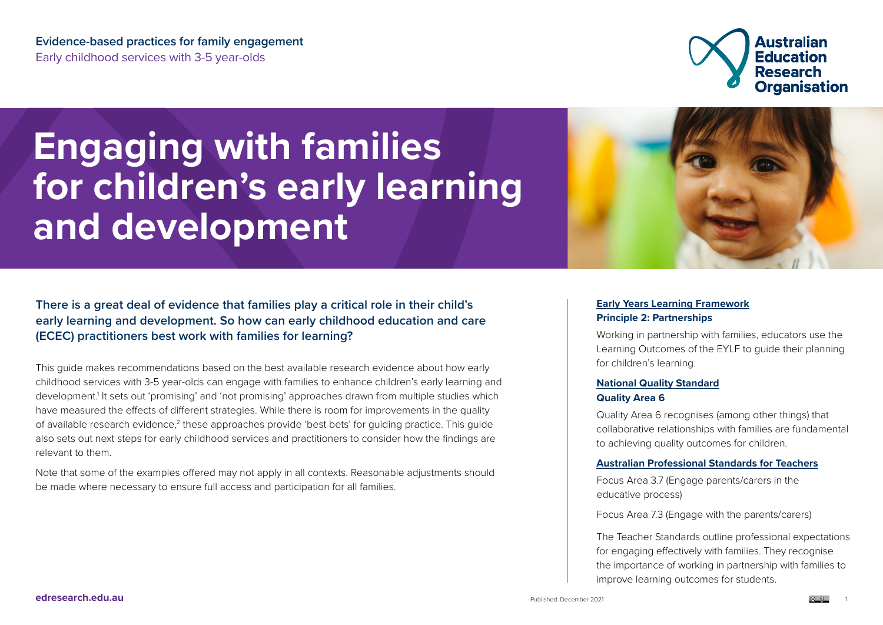**Evidence-based practices for family engagement**  Early childhood services with 3-5 year-olds



# **Engaging with families for children's early learning and development**



**There is a great deal of evidence that families play a critical role in their child's early learning and development. So how can early childhood education and care (ECEC) practitioners best work with families for learning?**

This guide makes recommendations based on the best available research evidence about how early childhood services with 3-5 year-olds can engage with families to enhance children's early learning and development.<sup>1</sup> It sets out 'promising' and 'not promising' approaches drawn from multiple studies which have measured the effects of different strategies. While there is room for improvements in the quality of available research evidence,<sup>2</sup> these approaches provide 'best bets' for guiding practice. This guide also sets out next steps for early childhood services and practitioners to consider how the findings are relevant to them.

Note that some of the examples offered may not apply in all contexts. Reasonable adjustments should be made where necessary to ensure full access and participation for all families.

#### **[Early Years Learning Framework](https://www.acecqa.gov.au/nqf/national-law-regulations/approved-learning-frameworks) Principle 2: Partnerships**

Working in partnership with families, educators use the Learning Outcomes of the EYLF to guide their planning for children's learning.

#### **[National Quality Standard](https://www.acecqa.gov.au/nqf/national-quality-standard/quality-area-6-collaborative-partnership-with-families-and-communities) Quality Area 6**

Quality Area 6 recognises (among other things) that collaborative relationships with families are fundamental to achieving quality outcomes for children.

#### **[Australian Professional Standards for Teachers](https://www.aitsl.edu.au/teach/standards)**

Focus Area 3.7 (Engage parents/carers in the educative process)

Focus Area 7.3 (Engage with the parents/carers)

The Teacher Standards outline professional expectations for engaging effectively with families. They recognise the importance of working in partnership with families to improve learning outcomes for students.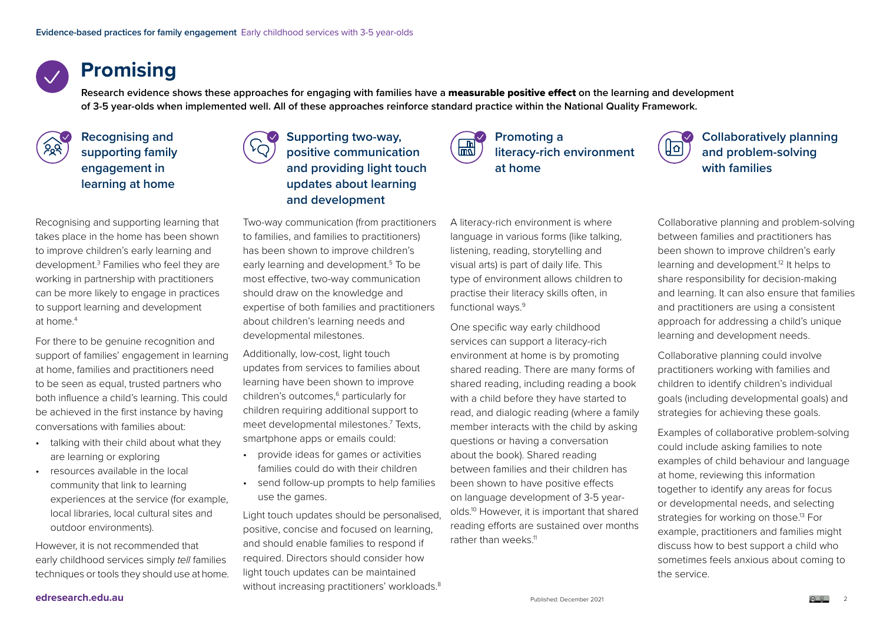### **Promising**

**Research evidence shows these approaches for engaging with families have a** measurable positive effect **on the learning and development of 3-5 year-olds when implemented well. All of these approaches reinforce standard practice within the National Quality Framework.** 



**Recognising and supporting family engagement in learning at home**



### **Supporting two-way, positive communication and providing light touch updates about learning and development**

Recognising and supporting learning that takes place in the home has been shown to improve children's early learning and development.3 Families who feel they are working in partnership with practitioners can be more likely to engage in practices to support learning and development at home.4

For there to be genuine recognition and support of families' engagement in learning at home, families and practitioners need to be seen as equal, trusted partners who both influence a child's learning. This could be achieved in the first instance by having conversations with families about:

- talking with their child about what they are learning or exploring
- resources available in the local community that link to learning experiences at the service (for example, local libraries, local cultural sites and outdoor environments).

However, it is not recommended that early childhood services simply *tell* families techniques or tools they should use at home.

Two-way communication (from practitioners to families, and families to practitioners) has been shown to improve children's early learning and development.<sup>5</sup> To be most effective, two-way communication should draw on the knowledge and expertise of both families and practitioners about children's learning needs and developmental milestones.

Additionally, low-cost, light touch updates from services to families about learning have been shown to improve children's outcomes,<sup>6</sup> particularly for children requiring additional support to meet developmental milestones.7 Texts, smartphone apps or emails could:

- provide ideas for games or activities families could do with their children
- send follow-up prompts to help families use the games.

Light touch updates should be personalised, positive, concise and focused on learning, and should enable families to respond if required. Directors should consider how light touch updates can be maintained without increasing practitioners' workloads.<sup>8</sup>



**literacy-rich environment at home**

<u>|जि</u>

**Collaboratively planning and problem-solving with families**

A literacy-rich environment is where language in various forms (like talking, listening, reading, storytelling and visual arts) is part of daily life. This type of environment allows children to practise their literacy skills often, in functional ways.<sup>9</sup>

One specific way early childhood services can support a literacy-rich environment at home is by promoting shared reading. There are many forms of shared reading, including reading a book with a child before they have started to read, and dialogic reading (where a family member interacts with the child by asking questions or having a conversation about the book). Shared reading between families and their children has been shown to have positive effects on language development of 3-5 yearolds.10 However, it is important that shared reading efforts are sustained over months rather than weeks.<sup>11</sup>

Collaborative planning and problem-solving between families and practitioners has been shown to improve children's early learning and development.<sup>12</sup> It helps to share responsibility for decision-making and learning. It can also ensure that families and practitioners are using a consistent approach for addressing a child's unique learning and development needs.

Collaborative planning could involve practitioners working with families and children to identify children's individual goals (including developmental goals) and strategies for achieving these goals.

Examples of collaborative problem-solving could include asking families to note examples of child behaviour and language at home, reviewing this information together to identify any areas for focus or developmental needs, and selecting strategies for working on those.<sup>13</sup> For example, practitioners and families might discuss how to best support a child who sometimes feels anxious about coming to the service.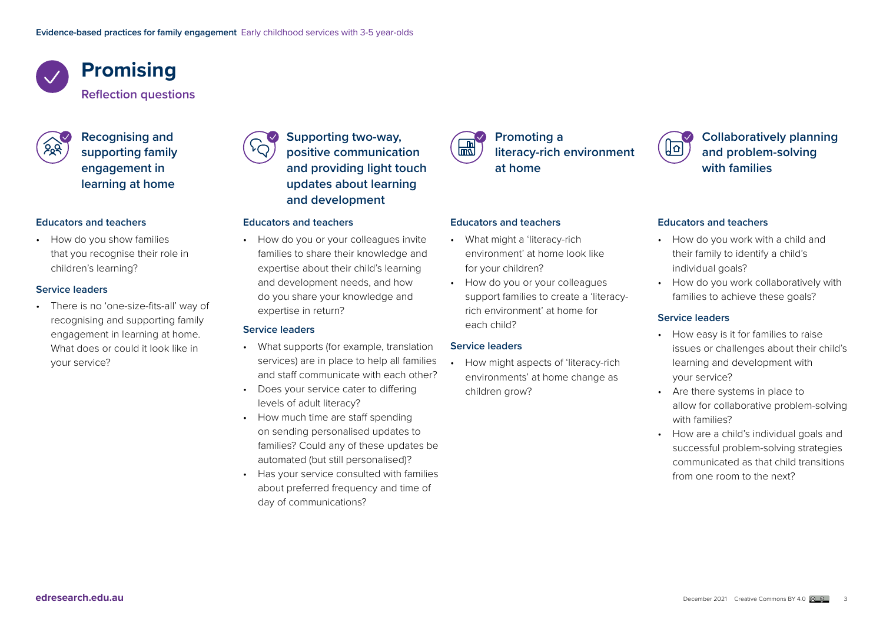## **Promising**

**Reflection questions**

**Recognising and supporting family engagement in learning at home**

#### **Educators and teachers**

• How do you show families that you recognise their role in children's learning?

#### **Service leaders**

• There is no 'one-size-fits-all' way of recognising and supporting family engagement in learning at home. What does or could it look like in your service?



#### **Educators and teachers**

• How do you or your colleagues invite families to share their knowledge and expertise about their child's learning and development needs, and how do you share your knowledge and expertise in return?

#### **Service leaders**

- What supports (for example, translation services) are in place to help all families and staff communicate with each other?
- Does your service cater to differing levels of adult literacy?
- How much time are staff spending on sending personalised updates to families? Could any of these updates be automated (but still personalised)?
- Has your service consulted with families about preferred frequency and time of day of communications?

| m  |
|----|
| ΊΠ |
|    |
|    |

### **Promoting a literacy-rich environment at home**

#### **Educators and teachers**

- What might a 'literacy-rich environment' at home look like for your children?
- How do you or your colleagues support families to create a 'literacyrich environment' at home for each child?

#### **Service leaders**

• How might aspects of 'literacy-rich environments' at home change as children grow?



#### **Educators and teachers**

- How do you work with a child and their family to identify a child's individual goals?
- How do you work collaboratively with families to achieve these goals?

#### **Service leaders**

- How easy is it for families to raise issues or challenges about their child's learning and development with your service?
- Are there systems in place to allow for collaborative problem-solving with families?
- How are a child's individual goals and successful problem-solving strategies communicated as that child transitions from one room to the next?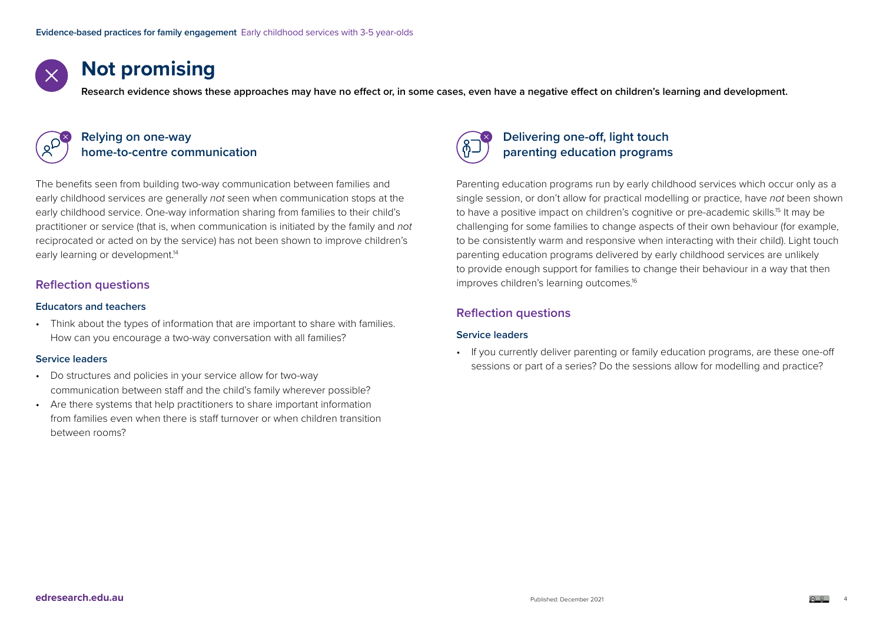

### **Not promising**

**Research evidence shows these approaches may have no effect or, in some cases, even have a negative effect on children's learning and development.** 



#### **Relying on one-way home-to-centre communication**

The benefits seen from building two-way communication between families and early childhood services are generally *not* seen when communication stops at the early childhood service. One-way information sharing from families to their child's practitioner or service (that is, when communication is initiated by the family and *not* reciprocated or acted on by the service) has not been shown to improve children's early learning or development.<sup>14</sup>

#### **Reflection questions**

#### **Educators and teachers**

• Think about the types of information that are important to share with families. How can you encourage a two-way conversation with all families?

#### **Service leaders**

- Do structures and policies in your service allow for two-way communication between staff and the child's family wherever possible?
- Are there systems that help practitioners to share important information from families even when there is staff turnover or when children transition between rooms?



### **Delivering one-off, light touch parenting education programs**

Parenting education programs run by early childhood services which occur only as a single session, or don't allow for practical modelling or practice, have *not* been shown to have a positive impact on children's cognitive or pre-academic skills. <sup>15</sup> It may be challenging for some families to change aspects of their own behaviour (for example, to be consistently warm and responsive when interacting with their child). Light touch parenting education programs delivered by early childhood services are unlikely to provide enough support for families to change their behaviour in a way that then improves children's learning outcomes. 16

#### **Reflection questions**

#### **Service leaders**

• If you currently deliver parenting or family education programs, are these one-off sessions or part of a series? Do the sessions allow for modelling and practice?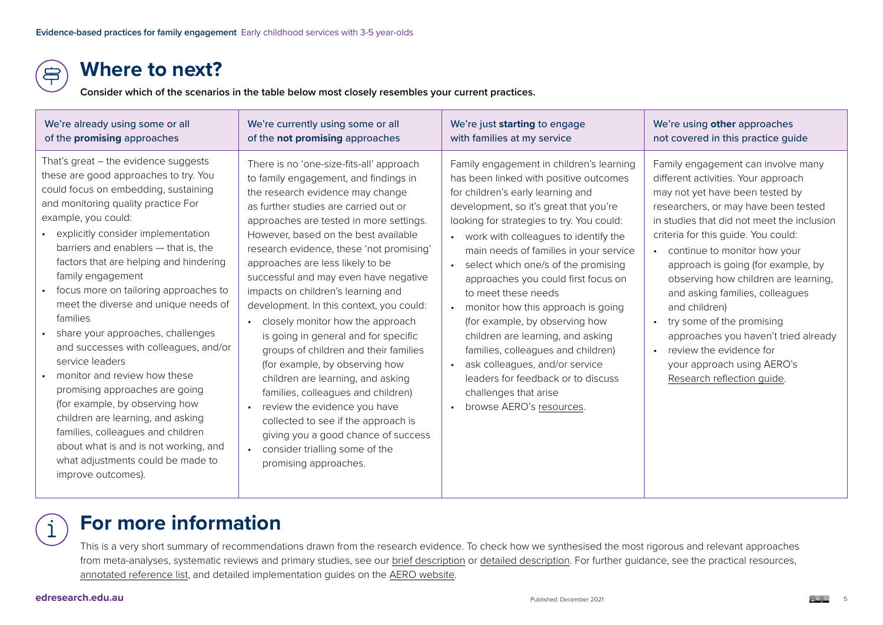### **Where to next?**

**Consider which of the scenarios in the table below most closely resembles your current practices.**

| We're already using some or all                                                                                                                                                                                                                                                                                                                                                                                                                                                                                                                                                                                                                                                                                                                                                                                    | We're currently using some or all                                                                                                                                                                                                                                                                                                                                                                                                                                                                                                                                                                                                                                                                                                                                                                                                                                       | We're just starting to engage                                                                                                                                                                                                                                                                                                                                                                                                                                                                                                                                                                                                                                                                                     | We're using other approaches                                                                                                                                                                                                                                                                                                                                                                                                                                                                                                                                                                        |
|--------------------------------------------------------------------------------------------------------------------------------------------------------------------------------------------------------------------------------------------------------------------------------------------------------------------------------------------------------------------------------------------------------------------------------------------------------------------------------------------------------------------------------------------------------------------------------------------------------------------------------------------------------------------------------------------------------------------------------------------------------------------------------------------------------------------|-------------------------------------------------------------------------------------------------------------------------------------------------------------------------------------------------------------------------------------------------------------------------------------------------------------------------------------------------------------------------------------------------------------------------------------------------------------------------------------------------------------------------------------------------------------------------------------------------------------------------------------------------------------------------------------------------------------------------------------------------------------------------------------------------------------------------------------------------------------------------|-------------------------------------------------------------------------------------------------------------------------------------------------------------------------------------------------------------------------------------------------------------------------------------------------------------------------------------------------------------------------------------------------------------------------------------------------------------------------------------------------------------------------------------------------------------------------------------------------------------------------------------------------------------------------------------------------------------------|-----------------------------------------------------------------------------------------------------------------------------------------------------------------------------------------------------------------------------------------------------------------------------------------------------------------------------------------------------------------------------------------------------------------------------------------------------------------------------------------------------------------------------------------------------------------------------------------------------|
| of the promising approaches                                                                                                                                                                                                                                                                                                                                                                                                                                                                                                                                                                                                                                                                                                                                                                                        | of the not promising approaches                                                                                                                                                                                                                                                                                                                                                                                                                                                                                                                                                                                                                                                                                                                                                                                                                                         | with families at my service                                                                                                                                                                                                                                                                                                                                                                                                                                                                                                                                                                                                                                                                                       | not covered in this practice guide                                                                                                                                                                                                                                                                                                                                                                                                                                                                                                                                                                  |
| That's great $-$ the evidence suggests<br>these are good approaches to try. You<br>could focus on embedding, sustaining<br>and monitoring quality practice For<br>example, you could:<br>explicitly consider implementation<br>barriers and enablers - that is, the<br>factors that are helping and hindering<br>family engagement<br>focus more on tailoring approaches to<br>meet the diverse and unique needs of<br>families<br>share your approaches, challenges<br>and successes with colleagues, and/or<br>service leaders<br>monitor and review how these<br>promising approaches are going<br>(for example, by observing how<br>children are learning, and asking<br>families, colleagues and children<br>about what is and is not working, and<br>what adjustments could be made to<br>improve outcomes). | There is no 'one-size-fits-all' approach<br>to family engagement, and findings in<br>the research evidence may change<br>as further studies are carried out or<br>approaches are tested in more settings.<br>However, based on the best available<br>research evidence, these 'not promising'<br>approaches are less likely to be<br>successful and may even have negative<br>impacts on children's learning and<br>development. In this context, you could:<br>closely monitor how the approach<br>is going in general and for specific<br>groups of children and their families<br>(for example, by observing how<br>children are learning, and asking<br>families, colleagues and children)<br>review the evidence you have<br>collected to see if the approach is<br>giving you a good chance of success<br>consider trialling some of the<br>promising approaches. | Family engagement in children's learning<br>has been linked with positive outcomes<br>for children's early learning and<br>development, so it's great that you're<br>looking for strategies to try. You could:<br>• work with colleagues to identify the<br>main needs of families in your service<br>select which one/s of the promising<br>$\bullet$<br>approaches you could first focus on<br>to meet these needs<br>monitor how this approach is going<br>(for example, by observing how<br>children are learning, and asking<br>families, colleagues and children)<br>ask colleagues, and/or service<br>$\bullet$<br>leaders for feedback or to discuss<br>challenges that arise<br>browse AERO's resources. | Family engagement can involve many<br>different activities. Your approach<br>may not yet have been tested by<br>researchers, or may have been tested<br>in studies that did not meet the inclusion<br>criteria for this guide. You could:<br>• continue to monitor how your<br>approach is going (for example, by<br>observing how children are learning,<br>and asking families, colleagues<br>and children)<br>try some of the promising<br>$\bullet$<br>approaches you haven't tried already<br>review the evidence for<br>$\bullet$<br>your approach using AERO's<br>Research reflection guide. |

## **For more information**

This is a very short summary of recommendations drawn from the research evidence. To check how we synthesised the most rigorous and relevant approaches from meta-analyses, systematic reviews and primary studies, see our [brief description](https://www.edresearch.edu.au/creating-family-engagement-practice-guides-brief-methodology) or [detailed description](https://www.edresearch.edu.au/creating-family-engagement-practice-guides-detailed-methodology). For further guidance, see the practical resources, [annotated reference list](https://www.edresearch.edu.au/family-engagement-learning-annotated-reference-list), and detailed implementation guides on the [AERO website](https://www.edresearch.edu.au/).

 $\dot{1}$